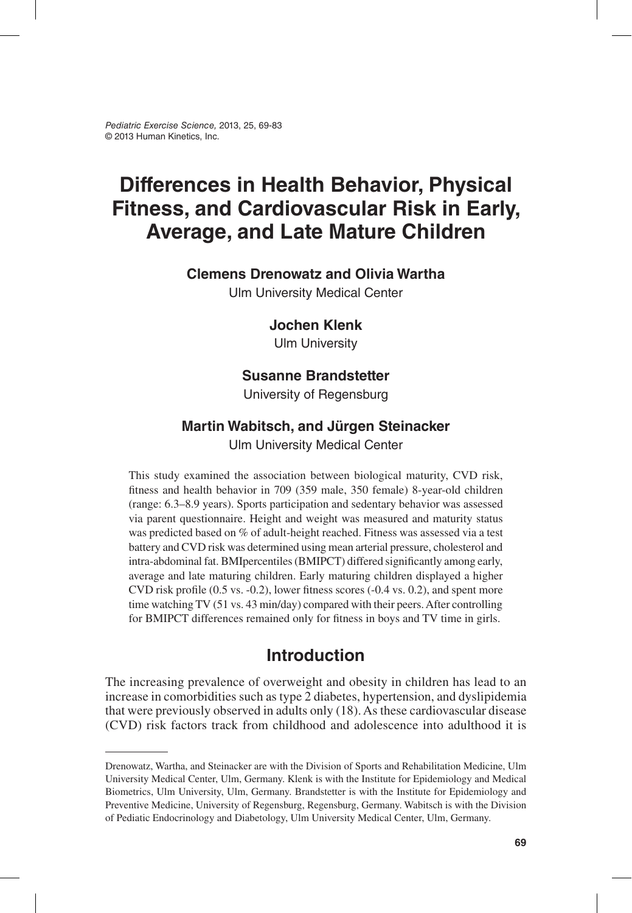*Pediatric Exercise Science,* 2013, 25, 69-83 © 2013 Human Kinetics, Inc.

# **Differences in Health Behavior, Physical Fitness, and Cardiovascular Risk in Early, Average, and Late Mature Children**

### **Clemens Drenowatz and Olivia Wartha**

Ulm University Medical Center

### **Jochen Klenk**

Ulm University

### **Susanne Brandstetter**

University of Regensburg

### **Martin Wabitsch, and Jürgen Steinacker**

Ulm University Medical Center

This study examined the association between biological maturity, CVD risk, fitness and health behavior in 709 (359 male, 350 female) 8-year-old children (range: 6.3–8.9 years). Sports participation and sedentary behavior was assessed via parent questionnaire. Height and weight was measured and maturity status was predicted based on % of adult-height reached. Fitness was assessed via a test battery and CVD risk was determined using mean arterial pressure, cholesterol and intra-abdominal fat. BMIpercentiles (BMIPCT) differed significantly among early, average and late maturing children. Early maturing children displayed a higher CVD risk profile (0.5 vs. -0.2), lower fitness scores (-0.4 vs. 0.2), and spent more time watching TV (51 vs. 43 min/day) compared with their peers. After controlling for BMIPCT differences remained only for fitness in boys and TV time in girls.

# **Introduction**

The increasing prevalence of overweight and obesity in children has lead to an increase in comorbidities such as type 2 diabetes, hypertension, and dyslipidemia that were previously observed in adults only (18). As these cardiovascular disease (CVD) risk factors track from childhood and adolescence into adulthood it is

Drenowatz, Wartha, and Steinacker are with the Division of Sports and Rehabilitation Medicine, Ulm University Medical Center, Ulm, Germany. Klenk is with the Institute for Epidemiology and Medical Biometrics, Ulm University, Ulm, Germany. Brandstetter is with the Institute for Epidemiology and Preventive Medicine, University of Regensburg, Regensburg, Germany. Wabitsch is with the Division of Pediatic Endocrinology and Diabetology, Ulm University Medical Center, Ulm, Germany.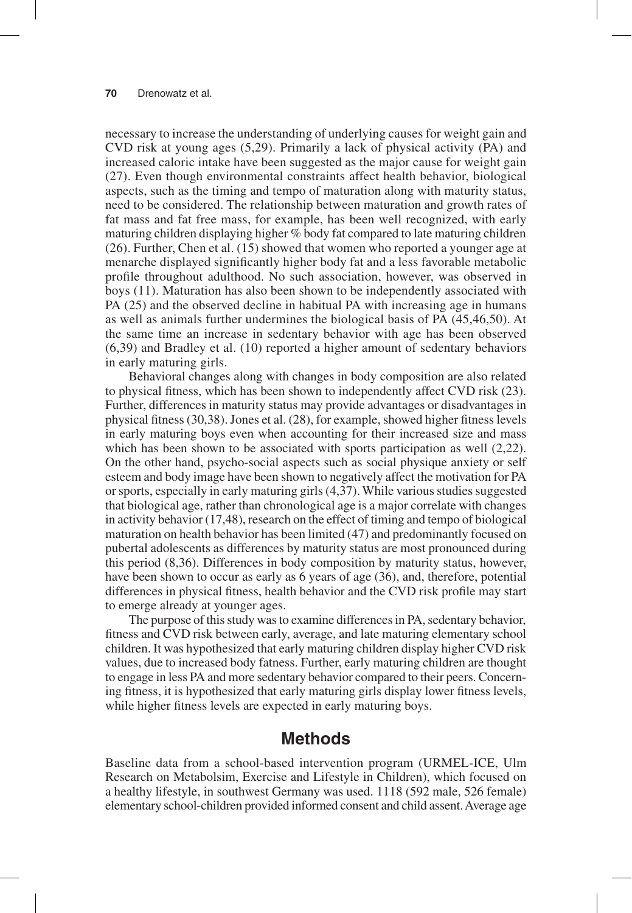necessary to increase the understanding of underlying causes for weight gain and CVD risk at young ages (5,29). Primarily a lack of physical activity (PA) and increased caloric intake have been suggested as the major cause for weight gain (27). Even though environmental constraints affect health behavior, biological aspects, such as the timing and tempo of maturation along with maturity status, need to be considered. The relationship between maturation and growth rates of fat mass and fat free mass, for example, has been well recognized, with early maturing children displaying higher % body fat compared to late maturing children (26). Further, Chen et al. (15) showed that women who reported a younger age at menarche displayed significantly higher body fat and a less favorable metabolic profile throughout adulthood. No such association, however, was observed in boys (11). Maturation has also been shown to be independently associated with PA (25) and the observed decline in habitual PA with increasing age in humans as well as animals further undermines the biological basis of PA (45,46,50). At the same time an increase in sedentary behavior with age has been observed (6,39) and Bradley et al. (10) reported a higher amount of sedentary behaviors in early maturing girls.

Behavioral changes along with changes in body composition are also related to physical fitness, which has been shown to independently affect CVD risk (23). Further, differences in maturity status may provide advantages or disadvantages in physical fitness (30,38). Jones et al. (28), for example, showed higher fitness levels in early maturing boys even when accounting for their increased size and mass which has been shown to be associated with sports participation as well  $(2,22)$ . On the other hand, psycho-social aspects such as social physique anxiety or self esteem and body image have been shown to negatively affect the motivation for PA or sports, especially in early maturing girls (4,37). While various studies suggested that biological age, rather than chronological age is a major correlate with changes in activity behavior (17,48), research on the effect of timing and tempo of biological maturation on health behavior has been limited (47) and predominantly focused on pubertal adolescents as differences by maturity status are most pronounced during this period (8,36). Differences in body composition by maturity status, however, have been shown to occur as early as 6 years of age (36), and, therefore, potential differences in physical fitness, health behavior and the CVD risk profile may start to emerge already at younger ages.

The purpose of this study was to examine differences in PA, sedentary behavior, fitness and CVD risk between early, average, and late maturing elementary school children. It was hypothesized that early maturing children display higher CVD risk values, due to increased body fatness. Further, early maturing children are thought to engage in less PA and more sedentary behavior compared to their peers. Concerning fitness, it is hypothesized that early maturing girls display lower fitness levels, while higher fitness levels are expected in early maturing boys.

# **Methods**

Baseline data from a school-based intervention program (URMEL-ICE, Ulm Research on Metabolsim, Exercise and Lifestyle in Children), which focused on a healthy lifestyle, in southwest Germany was used. 1118 (592 male, 526 female) elementary school-children provided informed consent and child assent. Average age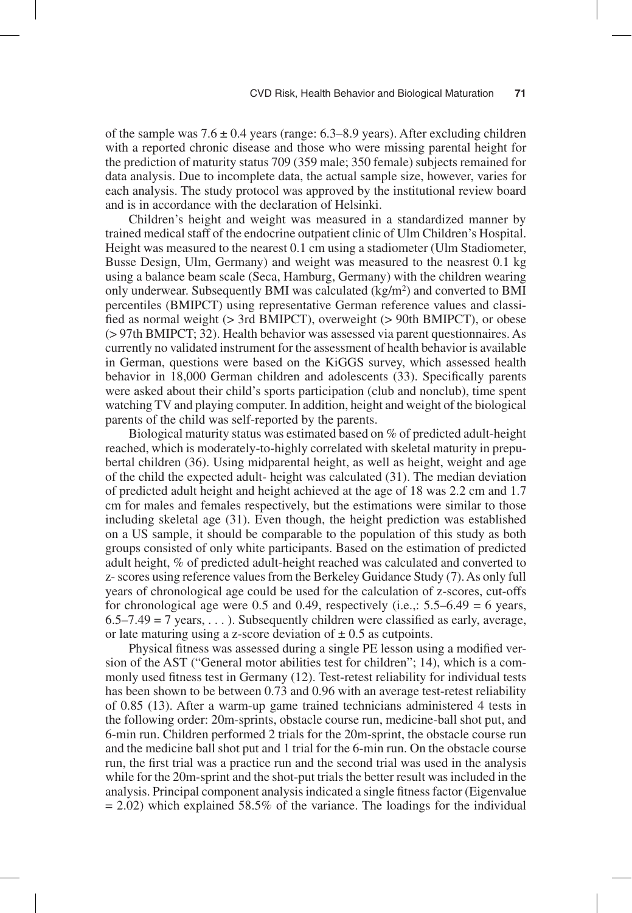of the sample was  $7.6 \pm 0.4$  years (range: 6.3–8.9 years). After excluding children with a reported chronic disease and those who were missing parental height for the prediction of maturity status 709 (359 male; 350 female) subjects remained for data analysis. Due to incomplete data, the actual sample size, however, varies for each analysis. The study protocol was approved by the institutional review board and is in accordance with the declaration of Helsinki.

Children's height and weight was measured in a standardized manner by trained medical staff of the endocrine outpatient clinic of Ulm Children's Hospital. Height was measured to the nearest 0.1 cm using a stadiometer (Ulm Stadiometer, Busse Design, Ulm, Germany) and weight was measured to the neasrest 0.1 kg using a balance beam scale (Seca, Hamburg, Germany) with the children wearing only underwear. Subsequently BMI was calculated (kg/m2) and converted to BMI percentiles (BMIPCT) using representative German reference values and classified as normal weight (> 3rd BMIPCT), overweight (> 90th BMIPCT), or obese (> 97th BMIPCT; 32). Health behavior was assessed via parent questionnaires. As currently no validated instrument for the assessment of health behavior is available in German, questions were based on the KiGGS survey, which assessed health behavior in 18,000 German children and adolescents (33). Specifically parents were asked about their child's sports participation (club and nonclub), time spent watching TV and playing computer. In addition, height and weight of the biological parents of the child was self-reported by the parents.

Biological maturity status was estimated based on % of predicted adult-height reached, which is moderately-to-highly correlated with skeletal maturity in prepubertal children (36). Using midparental height, as well as height, weight and age of the child the expected adult- height was calculated (31). The median deviation of predicted adult height and height achieved at the age of 18 was 2.2 cm and 1.7 cm for males and females respectively, but the estimations were similar to those including skeletal age (31). Even though, the height prediction was established on a US sample, it should be comparable to the population of this study as both groups consisted of only white participants. Based on the estimation of predicted adult height, % of predicted adult-height reached was calculated and converted to z- scores using reference values from the Berkeley Guidance Study (7). As only full years of chronological age could be used for the calculation of z-scores, cut-offs for chronological age were 0.5 and 0.49, respectively (i.e.,:  $5.5-6.49 = 6$  years,  $6.5-7.49 = 7$  years, ...). Subsequently children were classified as early, average, or late maturing using a z-score deviation of  $\pm$  0.5 as cutpoints.

Physical fitness was assessed during a single PE lesson using a modified version of the AST ("General motor abilities test for children"; 14), which is a commonly used fitness test in Germany (12). Test-retest reliability for individual tests has been shown to be between 0.73 and 0.96 with an average test-retest reliability of 0.85 (13). After a warm-up game trained technicians administered 4 tests in the following order: 20m-sprints, obstacle course run, medicine-ball shot put, and 6-min run. Children performed 2 trials for the 20m-sprint, the obstacle course run and the medicine ball shot put and 1 trial for the 6-min run. On the obstacle course run, the first trial was a practice run and the second trial was used in the analysis while for the 20m-sprint and the shot-put trials the better result was included in the analysis. Principal component analysis indicated a single fitness factor (Eigenvalue  $= 2.02$ ) which explained 58.5% of the variance. The loadings for the individual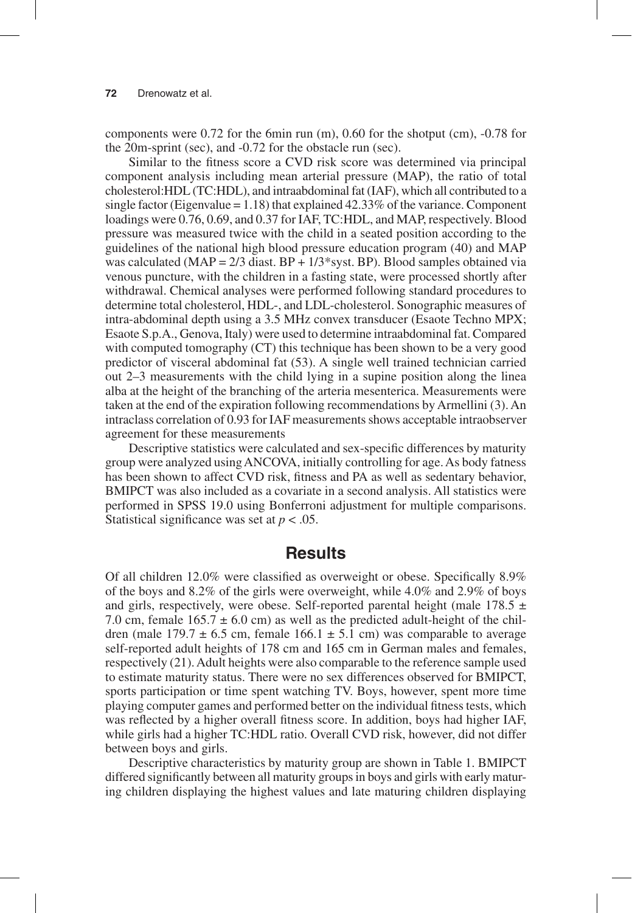components were 0.72 for the 6min run (m), 0.60 for the shotput (cm), -0.78 for the 20m-sprint (sec), and -0.72 for the obstacle run (sec).

Similar to the fitness score a CVD risk score was determined via principal component analysis including mean arterial pressure (MAP), the ratio of total cholesterol:HDL (TC:HDL), and intraabdominal fat (IAF), which all contributed to a single factor (Eigenvalue =  $1.18$ ) that explained 42.33% of the variance. Component loadings were 0.76, 0.69, and 0.37 for IAF, TC:HDL, and MAP, respectively. Blood pressure was measured twice with the child in a seated position according to the guidelines of the national high blood pressure education program (40) and MAP was calculated (MAP =  $2/3$  diast. BP +  $1/3$ \*syst. BP). Blood samples obtained via venous puncture, with the children in a fasting state, were processed shortly after withdrawal. Chemical analyses were performed following standard procedures to determine total cholesterol, HDL-, and LDL-cholesterol. Sonographic measures of intra-abdominal depth using a 3.5 MHz convex transducer (Esaote Techno MPX; Esaote S.p.A., Genova, Italy) were used to determine intraabdominal fat. Compared with computed tomography (CT) this technique has been shown to be a very good predictor of visceral abdominal fat (53). A single well trained technician carried out 2–3 measurements with the child lying in a supine position along the linea alba at the height of the branching of the arteria mesenterica. Measurements were taken at the end of the expiration following recommendations by Armellini (3). An intraclass correlation of 0.93 for IAF measurements shows acceptable intraobserver agreement for these measurements

Descriptive statistics were calculated and sex-specific differences by maturity group were analyzed using ANCOVA, initially controlling for age. As body fatness has been shown to affect CVD risk, fitness and PA as well as sedentary behavior, BMIPCT was also included as a covariate in a second analysis. All statistics were performed in SPSS 19.0 using Bonferroni adjustment for multiple comparisons. Statistical significance was set at *p* < .05.

## **Results**

Of all children 12.0% were classified as overweight or obese. Specifically 8.9% of the boys and 8.2% of the girls were overweight, while 4.0% and 2.9% of boys and girls, respectively, were obese. Self-reported parental height (male 178.5  $\pm$ 7.0 cm, female  $165.7 \pm 6.0$  cm) as well as the predicted adult-height of the children (male  $179.7 \pm 6.5$  cm, female  $166.1 \pm 5.1$  cm) was comparable to average self-reported adult heights of 178 cm and 165 cm in German males and females, respectively (21). Adult heights were also comparable to the reference sample used to estimate maturity status. There were no sex differences observed for BMIPCT, sports participation or time spent watching TV. Boys, however, spent more time playing computer games and performed better on the individual fitness tests, which was reflected by a higher overall fitness score. In addition, boys had higher IAF, while girls had a higher TC:HDL ratio. Overall CVD risk, however, did not differ between boys and girls.

Descriptive characteristics by maturity group are shown in Table 1. BMIPCT differed significantly between all maturity groups in boys and girls with early maturing children displaying the highest values and late maturing children displaying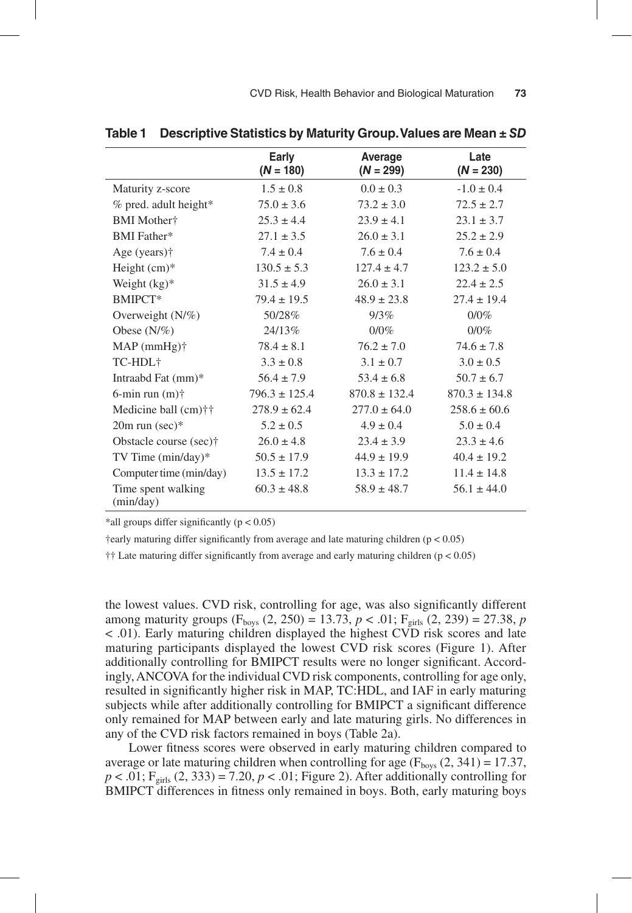|                                 | Early<br>$(N = 180)$ | Average<br>$(N = 299)$ | Late<br>$(N = 230)$ |
|---------------------------------|----------------------|------------------------|---------------------|
| Maturity z-score                | $1.5 \pm 0.8$        | $0.0 \pm 0.3$          | $-1.0 \pm 0.4$      |
| % pred. adult height*           | $75.0 \pm 3.6$       | $73.2 \pm 3.0$         | $72.5 \pm 2.7$      |
| <b>BMI</b> Mother†              | $25.3 \pm 4.4$       | $23.9 \pm 4.1$         | $23.1 \pm 3.7$      |
| <b>BMI</b> Father*              | $27.1 \pm 3.5$       | $26.0 \pm 3.1$         | $25.2 \pm 2.9$      |
| Age (years) <sup>†</sup>        | $7.4 \pm 0.4$        | $7.6 \pm 0.4$          | $7.6 \pm 0.4$       |
| Height $(cm)*$                  | $130.5 \pm 5.3$      | $127.4 \pm 4.7$        | $123.2 \pm 5.0$     |
| Weight $(kg)^*$                 | $31.5 \pm 4.9$       | $26.0 \pm 3.1$         | $22.4 \pm 2.5$      |
| BMIPCT*                         | $79.4 \pm 19.5$      | $48.9 \pm 23.8$        | $27.4 \pm 19.4$     |
| Overweight $(N/\%)$             | 50/28%               | 9/3%                   | 0/0%                |
| Obese $(N/\%)$                  | 24/13\%              | $0/0\%$                | $0/0\%$             |
| $MAP(mmHg)$ †                   | $78.4 \pm 8.1$       | $76.2 \pm 7.0$         | $74.6 \pm 7.8$      |
| TC-HDL <sup>+</sup>             | $3.3 \pm 0.8$        | $3.1 \pm 0.7$          | $3.0 \pm 0.5$       |
| Intraabd Fat (mm)*              | $56.4 \pm 7.9$       | $53.4 \pm 6.8$         | $50.7 \pm 6.7$      |
| 6-min run $(m)$ †               | $796.3 \pm 125.4$    | $870.8 \pm 132.4$      | $870.3 \pm 134.8$   |
| Medicine ball (cm)††            | $278.9 \pm 62.4$     | $277.0 \pm 64.0$       | $258.6 \pm 60.6$    |
| $20m$ run (sec)*                | $5.2 \pm 0.5$        | $4.9 \pm 0.4$          | $5.0 \pm 0.4$       |
| Obstacle course (sec)†          | $26.0 \pm 4.8$       | $23.4 \pm 3.9$         | $23.3 \pm 4.6$      |
| TV Time $(min/day)*$            | $50.5 \pm 17.9$      | $44.9 \pm 19.9$        | $40.4 \pm 19.2$     |
| Computer time (min/day)         | $13.5 \pm 17.2$      | $13.3 \pm 17.2$        | $11.4 \pm 14.8$     |
| Time spent walking<br>(min/day) | $60.3 \pm 48.8$      | $58.9 \pm 48.7$        | $56.1 \pm 44.0$     |

**Table 1 Descriptive Statistics by Maturity Group. Values are Mean ±** *SD*

\*all groups differ significantly  $(p < 0.05)$ 

†early maturing differ significantly from average and late maturing children (p < 0.05)

 $\dagger\ddagger$  Late maturing differ significantly from average and early maturing children ( $p < 0.05$ )

the lowest values. CVD risk, controlling for age, was also significantly different among maturity groups ( $F_{\text{boys}}$  (2, 250) = 13.73,  $p < .01$ ;  $F_{\text{girls}}$  (2, 239) = 27.38,  $p$ < .01). Early maturing children displayed the highest CVD risk scores and late maturing participants displayed the lowest CVD risk scores (Figure 1). After additionally controlling for BMIPCT results were no longer significant. Accordingly, ANCOVA for the individual CVD risk components, controlling for age only, resulted in significantly higher risk in MAP, TC:HDL, and IAF in early maturing subjects while after additionally controlling for BMIPCT a significant difference only remained for MAP between early and late maturing girls. No differences in any of the CVD risk factors remained in boys (Table 2a).

Lower fitness scores were observed in early maturing children compared to average or late maturing children when controlling for age ( $F<sub>bovs</sub>$  (2, 341) = 17.37,  $p < .01$ ; F<sub>girls</sub> (2, 333) = 7.20,  $p < .01$ ; Figure 2). After additionally controlling for BMIPCT differences in fitness only remained in boys. Both, early maturing boys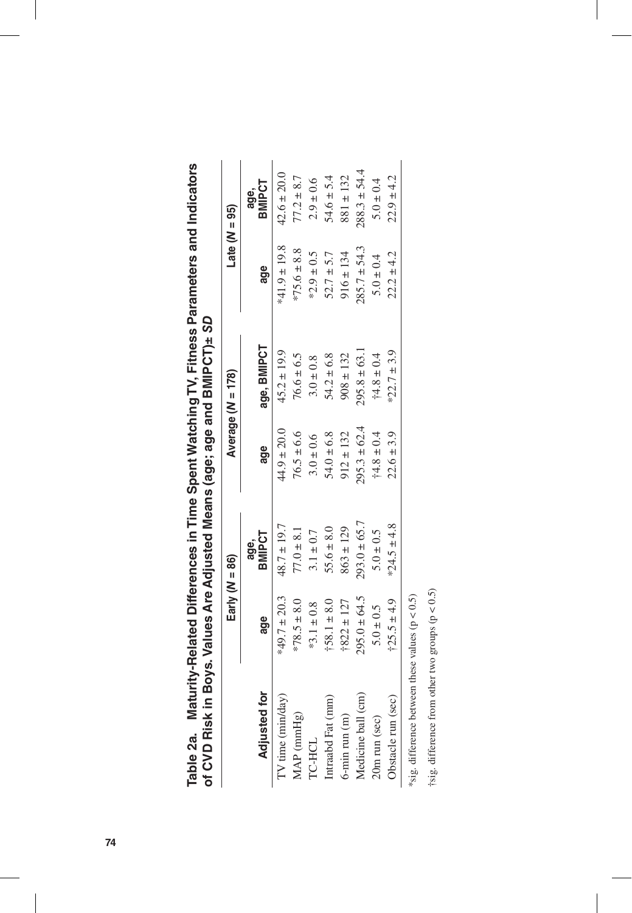| י<br>י                   | C<br>C<br>C<br>נ<br>ו<br>ו  |
|--------------------------|-----------------------------|
| ׇׇ֡֡֡֡׆<br>ׇׇ֪֞ <b>֓</b> | i<br>Consert                |
| :<br>:                   | <b>Printing</b><br>֚֓׆<br>׆ |
|                          | "ס" פוי                     |
| )<br> }                  |                             |
|                          |                             |
|                          |                             |
| )<br>)<br>}              |                             |
|                          |                             |
| Ī<br>5<br>7<br>7         | ייס בורא                    |
|                          |                             |

|                                                     | Early $(N = 86)$ |                       |                  | Average (N = 178) | Late $(N = 95)$  |                       |
|-----------------------------------------------------|------------------|-----------------------|------------------|-------------------|------------------|-----------------------|
| <b>Adjusted for</b>                                 | age              | <b>BMIPCT</b><br>age, | age              | age, BMIPCT       | age              | <b>BMIPCT</b><br>age, |
| $TV$ time ( $miday$ )                               | *49.7 $\pm$ 20.3 | $48.7 \pm 19.7$       | $44.9 \pm 20.0$  | $15.2 \pm 19.9$   | $*41.9 \pm 19.8$ | $42.6 \pm 20.0$       |
| MAP (mmHg)                                          | $*78.5 \pm 8.0$  | $77.0 \pm 8.1$        | $76.5 \pm 6.6$   | $76.6 \pm 6.5$    | $75.6 \pm 8.8$   | $77.2 \pm 8.7$        |
| <b>TC-HCL</b>                                       | $*3.1 \pm 0.8$   | $3.1 \pm 0.7$         | $3.0 \pm 0.6$    | $3.0 \pm 0.8$     | $*2.9 \pm 0.5$   | $2.9 \pm 0.6$         |
| Intraabd Fat (mm)                                   | $+58.1 \pm 8.0$  | $55.6 \pm 8.0$        | $54.0 \pm 6.8$   | $54.2 \pm 6.8$    | $52.7 \pm 5.7$   | $54.6 \pm 5.4$        |
| $6$ -min run $(m)$                                  | $+822 \pm 127$   | $863 \pm 129$         | $912 \pm 132$    | $908 \pm 132$     | $916 \pm 134$    | $881 \pm 132$         |
| Medicine ball (cm)                                  | $295.0 \pm 64.5$ | $293.0 \pm 65.7$      | $295.3 \pm 62.4$ | $295.8 \pm 63.1$  | $285.7 \pm 54.3$ | $288.3 \pm 54.4$      |
| 20m run (sec)                                       | $5.0 \pm 0.5$    | $5.0 \pm 0.5$         | $+4.8 \pm 0.4$   | $+4.8 \pm 0.4$    | $5.0 \pm 0.4$    | $5.0 \pm 0.4$         |
| Obstacle run (sec)                                  | $125.5 \pm 4.9$  | *24.5 ± 4.8           | $22.6 \pm 3.9$   | $22.7 \pm 3.9$    | $22.2 \pm 4.2$   | $22.9 \pm 4.2$        |
| *sig. difference between these values ( $p < 0.5$ ) |                  |                       |                  |                   |                  |                       |

†sig. difference from other two groups (p < 0.5) †sig. difference from other two groups (p < 0.5)

 $\overline{\phantom{a}}$ 

I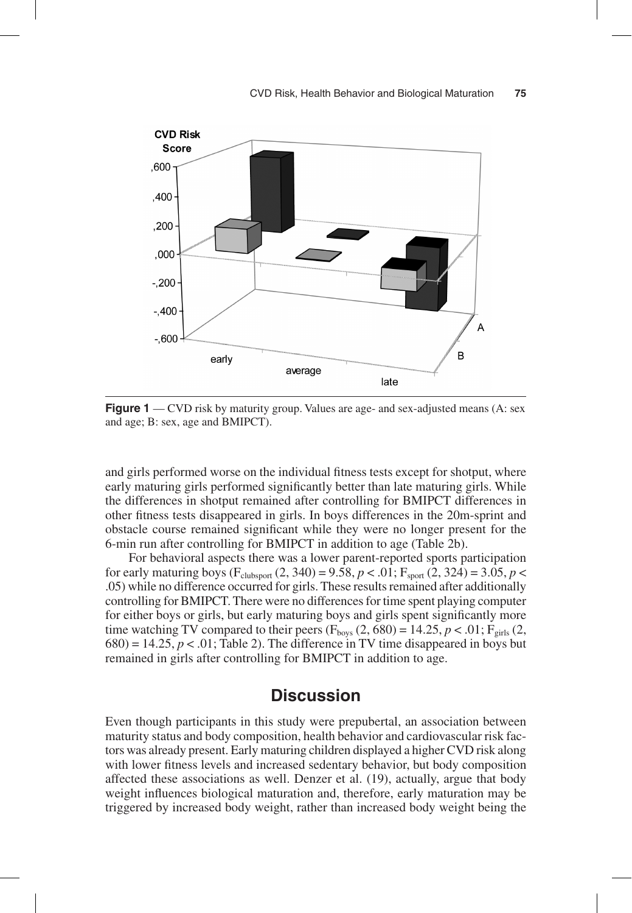

**Figure 1** — CVD risk by maturity group. Values are age- and sex-adjusted means (A: sex and age; B: sex, age and BMIPCT).

and girls performed worse on the individual fitness tests except for shotput, where early maturing girls performed significantly better than late maturing girls. While the differences in shotput remained after controlling for BMIPCT differences in other fitness tests disappeared in girls. In boys differences in the 20m-sprint and obstacle course remained significant while they were no longer present for the 6-min run after controlling for BMIPCT in addition to age (Table 2b).

For behavioral aspects there was a lower parent-reported sports participation for early maturing boys ( $F_{\text{clubsport}}(2, 340) = 9.58$ ,  $p < .01$ ;  $F_{\text{sport}}(2, 324) = 3.05$ ,  $p <$ .05) while no difference occurred for girls. These results remained after additionally controlling for BMIPCT. There were no differences for time spent playing computer for either boys or girls, but early maturing boys and girls spent significantly more time watching TV compared to their peers ( $F_{\text{boys}}$  (2, 680) = 14.25, *p* < .01;  $F_{\text{girls}}$  (2,  $680$ ) = 14.25,  $p < 0.01$ ; Table 2). The difference in TV time disappeared in boys but remained in girls after controlling for BMIPCT in addition to age.

# **Discussion**

Even though participants in this study were prepubertal, an association between maturity status and body composition, health behavior and cardiovascular risk factors was already present. Early maturing children displayed a higher CVD risk along with lower fitness levels and increased sedentary behavior, but body composition affected these associations as well. Denzer et al. (19), actually, argue that body weight influences biological maturation and, therefore, early maturation may be triggered by increased body weight, rather than increased body weight being the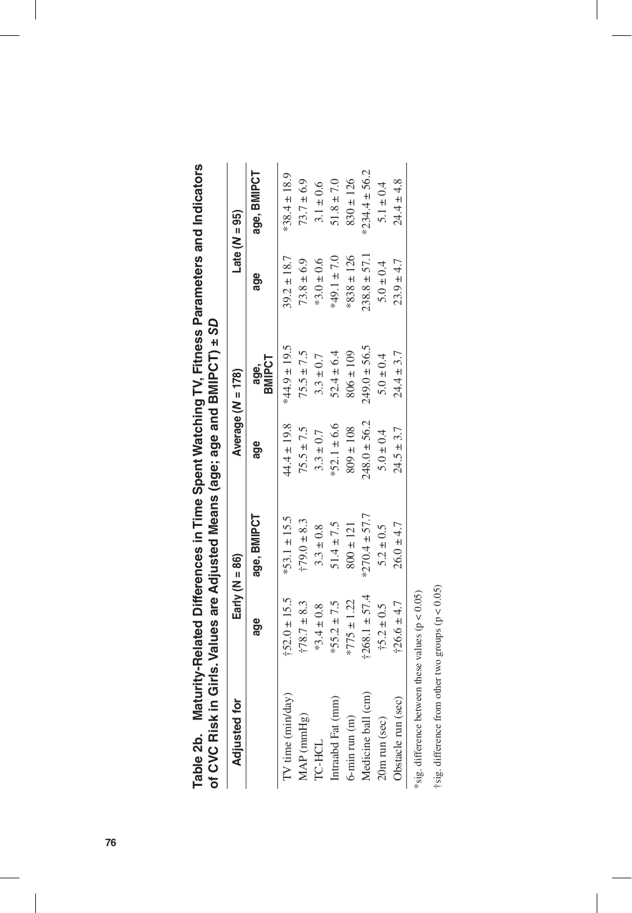| on A A Sk in Sige; ades are Agiues and Sige; and A Direct in Sige and Divide and Direct in Sige and Direct in S |                   |                    |                  |                   |                  |                   |
|-----------------------------------------------------------------------------------------------------------------|-------------------|--------------------|------------------|-------------------|------------------|-------------------|
| <b>Adjusted for</b>                                                                                             |                   | Early ( $N = 86$ ) |                  | Average (N = 178) |                  | Late $(N = 95)$   |
|                                                                                                                 | age               | age, BMIPCT        | age              | age,<br>BMIPCT    | age              | age, BMIPCT       |
| TV time (min/day)                                                                                               | $+52.0 \pm 15.5$  | $*53.1 \pm 15.5$   | $44.4 \pm 19.8$  | $*44.9 \pm 19.5$  | $39.2 \pm 18.7$  | $*38.4 \pm 18.9$  |
| MAP (mmHg)                                                                                                      | $†78.7 \pm 8.3$   | $179.0 \pm 8.3$    | $75.5 \pm 7.5$   | $75.5 \pm 7.5$    | $73.8 \pm 6.9$   | $73.7 \pm 6.9$    |
| TC-HCL                                                                                                          | $*3.4 \pm 0.8$    | $3.3 \pm 0.8$      | $3.3 \pm 0.7$    | $3.3 \pm 0.7$     | $*3.0 \pm 0.6$   | $3.1 \pm 0.6$     |
| Intraabd Fat (mm)                                                                                               | $*55.2 \pm 7.5$   | $51.4 \pm 7.5$     | $*52.1 \pm 6.6$  | $52.4 \pm 6.4$    | $*49.1 \pm 7.0$  | $51.8 \pm 7.0$    |
| $6$ -min run $(m)$                                                                                              | $*775 \pm 1.22$   | $800 \pm 121$      | $809 \pm 108$    | $806 \pm 109$     | $*838 \pm 126$   | $830 \pm 126$     |
| Medicine ball (cm)                                                                                              | $+268.1 \pm 57.4$ | $*270.4 \pm 57.7$  | $248.0 \pm 56.2$ | $249.0 \pm 56.5$  | $238.8 \pm 57.1$ | $*234.4 \pm 56.2$ |
| 20m run (sec)                                                                                                   | $+5.2 \pm 0.5$    | $5.2 \pm 0.5$      | $5.0 \pm 0.4$    | $5.0 \pm 0.4$     | $5.0 \pm 0.4$    | $5.1 \pm 0.4$     |
| Obstacle run (sec)                                                                                              | $+26.6 \pm 4.7$   | $26.0 \pm 4.7$     | $24.5 \pm 3.7$   | $24.4 \pm 3.7$    | $23.9 \pm 4.7$   | $24.4 \pm 4.8$    |
| *sig. difference between these values ( $p < 0.05$ )                                                            |                   |                    |                  |                   |                  |                   |

| re and Indi<br><b>TOIN AIDIDING F</b>               | $32+$                                   |
|-----------------------------------------------------|-----------------------------------------|
| <b>TV, Fitness</b><br><u>presence</u>               | i<br>sage and BMIPC1,<br>"מ<br>פי<br>ごり |
| いしょう こうしょう<br> <br> -<br> -<br> <br> <br> <br> <br> | フェロウスルル ウィハウハ「ラ<br>Jirls. Values are    |
| <b>THE 4D.</b> Music<br>์<br>คร                     | י היית בונים היית היית.                 |

y. 'n. †sig. difference from other two groups (p < 0.05) †sig. difference from other two groups (p < 0.05)

 $\overline{\phantom{a}}$ 

 $\overline{\phantom{a}}$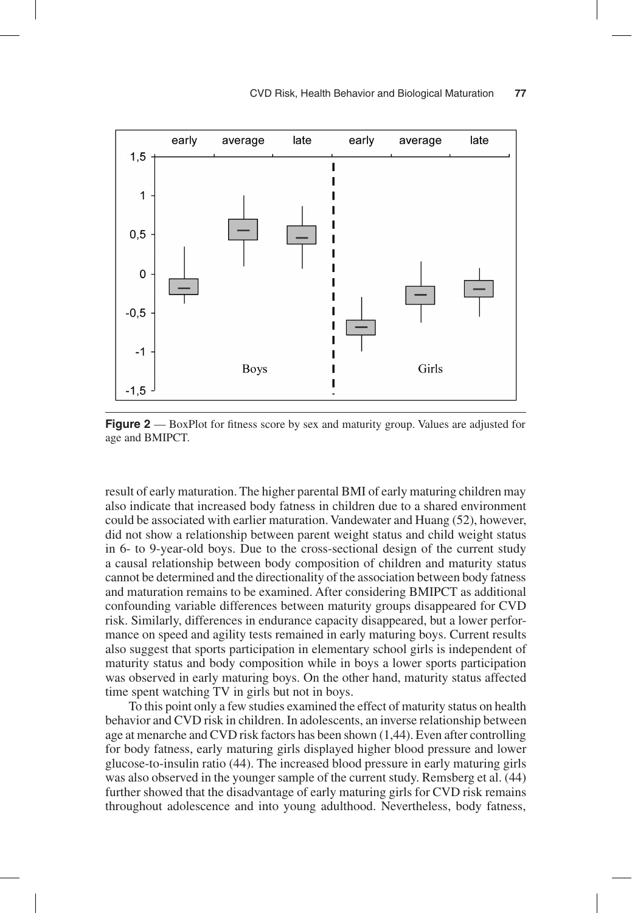#### CVD Risk, Health Behavior and Biological Maturation **77**



**Figure 2** — BoxPlot for fitness score by sex and maturity group. Values are adjusted for age and BMIPCT.

result of early maturation. The higher parental BMI of early maturing children may also indicate that increased body fatness in children due to a shared environment could be associated with earlier maturation. Vandewater and Huang (52), however, did not show a relationship between parent weight status and child weight status in 6- to 9-year-old boys. Due to the cross-sectional design of the current study a causal relationship between body composition of children and maturity status cannot be determined and the directionality of the association between body fatness and maturation remains to be examined. After considering BMIPCT as additional confounding variable differences between maturity groups disappeared for CVD risk. Similarly, differences in endurance capacity disappeared, but a lower performance on speed and agility tests remained in early maturing boys. Current results also suggest that sports participation in elementary school girls is independent of maturity status and body composition while in boys a lower sports participation was observed in early maturing boys. On the other hand, maturity status affected time spent watching TV in girls but not in boys.

To this point only a few studies examined the effect of maturity status on health behavior and CVD risk in children. In adolescents, an inverse relationship between age at menarche and CVD risk factors has been shown (1,44). Even after controlling for body fatness, early maturing girls displayed higher blood pressure and lower glucose-to-insulin ratio (44). The increased blood pressure in early maturing girls was also observed in the younger sample of the current study. Remsberg et al. (44) further showed that the disadvantage of early maturing girls for CVD risk remains throughout adolescence and into young adulthood. Nevertheless, body fatness,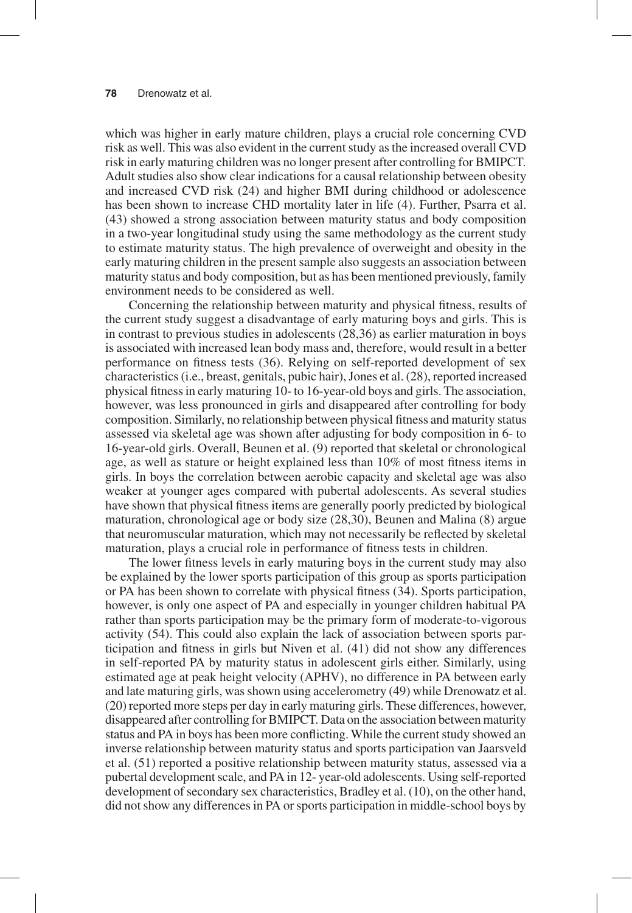which was higher in early mature children, plays a crucial role concerning CVD risk as well. This was also evident in the current study as the increased overall CVD risk in early maturing children was no longer present after controlling for BMIPCT. Adult studies also show clear indications for a causal relationship between obesity and increased CVD risk (24) and higher BMI during childhood or adolescence has been shown to increase CHD mortality later in life (4). Further, Psarra et al. (43) showed a strong association between maturity status and body composition in a two-year longitudinal study using the same methodology as the current study to estimate maturity status. The high prevalence of overweight and obesity in the early maturing children in the present sample also suggests an association between maturity status and body composition, but as has been mentioned previously, family environment needs to be considered as well.

Concerning the relationship between maturity and physical fitness, results of the current study suggest a disadvantage of early maturing boys and girls. This is in contrast to previous studies in adolescents (28,36) as earlier maturation in boys is associated with increased lean body mass and, therefore, would result in a better performance on fitness tests (36). Relying on self-reported development of sex characteristics (i.e., breast, genitals, pubic hair), Jones et al. (28), reported increased physical fitness in early maturing 10- to 16-year-old boys and girls. The association, however, was less pronounced in girls and disappeared after controlling for body composition. Similarly, no relationship between physical fitness and maturity status assessed via skeletal age was shown after adjusting for body composition in 6- to 16-year-old girls. Overall, Beunen et al. (9) reported that skeletal or chronological age, as well as stature or height explained less than 10% of most fitness items in girls. In boys the correlation between aerobic capacity and skeletal age was also weaker at younger ages compared with pubertal adolescents. As several studies have shown that physical fitness items are generally poorly predicted by biological maturation, chronological age or body size (28,30), Beunen and Malina (8) argue that neuromuscular maturation, which may not necessarily be reflected by skeletal maturation, plays a crucial role in performance of fitness tests in children.

The lower fitness levels in early maturing boys in the current study may also be explained by the lower sports participation of this group as sports participation or PA has been shown to correlate with physical fitness (34). Sports participation, however, is only one aspect of PA and especially in younger children habitual PA rather than sports participation may be the primary form of moderate-to-vigorous activity (54). This could also explain the lack of association between sports participation and fitness in girls but Niven et al. (41) did not show any differences in self-reported PA by maturity status in adolescent girls either. Similarly, using estimated age at peak height velocity (APHV), no difference in PA between early and late maturing girls, was shown using accelerometry (49) while Drenowatz et al. (20) reported more steps per day in early maturing girls. These differences, however, disappeared after controlling for BMIPCT. Data on the association between maturity status and PA in boys has been more conflicting. While the current study showed an inverse relationship between maturity status and sports participation van Jaarsveld et al. (51) reported a positive relationship between maturity status, assessed via a pubertal development scale, and PA in 12- year-old adolescents. Using self-reported development of secondary sex characteristics, Bradley et al. (10), on the other hand, did not show any differences in PA or sports participation in middle-school boys by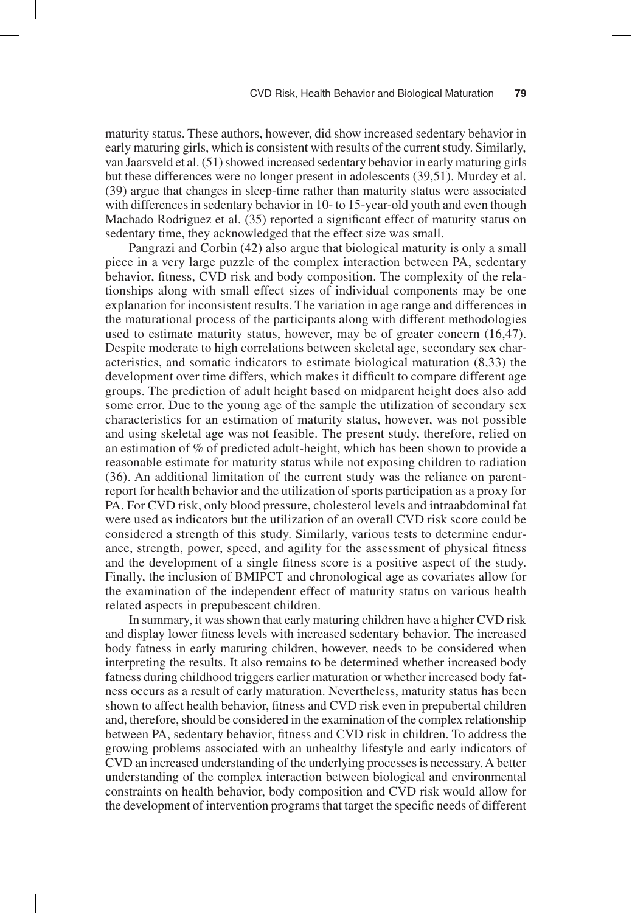maturity status. These authors, however, did show increased sedentary behavior in early maturing girls, which is consistent with results of the current study. Similarly, van Jaarsveld et al. (51) showed increased sedentary behavior in early maturing girls but these differences were no longer present in adolescents (39,51). Murdey et al. (39) argue that changes in sleep-time rather than maturity status were associated with differences in sedentary behavior in 10- to 15-year-old youth and even though Machado Rodriguez et al. (35) reported a significant effect of maturity status on sedentary time, they acknowledged that the effect size was small.

Pangrazi and Corbin (42) also argue that biological maturity is only a small piece in a very large puzzle of the complex interaction between PA, sedentary behavior, fitness, CVD risk and body composition. The complexity of the relationships along with small effect sizes of individual components may be one explanation for inconsistent results. The variation in age range and differences in the maturational process of the participants along with different methodologies used to estimate maturity status, however, may be of greater concern (16,47). Despite moderate to high correlations between skeletal age, secondary sex characteristics, and somatic indicators to estimate biological maturation (8,33) the development over time differs, which makes it difficult to compare different age groups. The prediction of adult height based on midparent height does also add some error. Due to the young age of the sample the utilization of secondary sex characteristics for an estimation of maturity status, however, was not possible and using skeletal age was not feasible. The present study, therefore, relied on an estimation of % of predicted adult-height, which has been shown to provide a reasonable estimate for maturity status while not exposing children to radiation (36). An additional limitation of the current study was the reliance on parentreport for health behavior and the utilization of sports participation as a proxy for PA. For CVD risk, only blood pressure, cholesterol levels and intraabdominal fat were used as indicators but the utilization of an overall CVD risk score could be considered a strength of this study. Similarly, various tests to determine endurance, strength, power, speed, and agility for the assessment of physical fitness and the development of a single fitness score is a positive aspect of the study. Finally, the inclusion of BMIPCT and chronological age as covariates allow for the examination of the independent effect of maturity status on various health related aspects in prepubescent children.

In summary, it was shown that early maturing children have a higher CVD risk and display lower fitness levels with increased sedentary behavior. The increased body fatness in early maturing children, however, needs to be considered when interpreting the results. It also remains to be determined whether increased body fatness during childhood triggers earlier maturation or whether increased body fatness occurs as a result of early maturation. Nevertheless, maturity status has been shown to affect health behavior, fitness and CVD risk even in prepubertal children and, therefore, should be considered in the examination of the complex relationship between PA, sedentary behavior, fitness and CVD risk in children. To address the growing problems associated with an unhealthy lifestyle and early indicators of CVD an increased understanding of the underlying processes is necessary. A better understanding of the complex interaction between biological and environmental constraints on health behavior, body composition and CVD risk would allow for the development of intervention programs that target the specific needs of different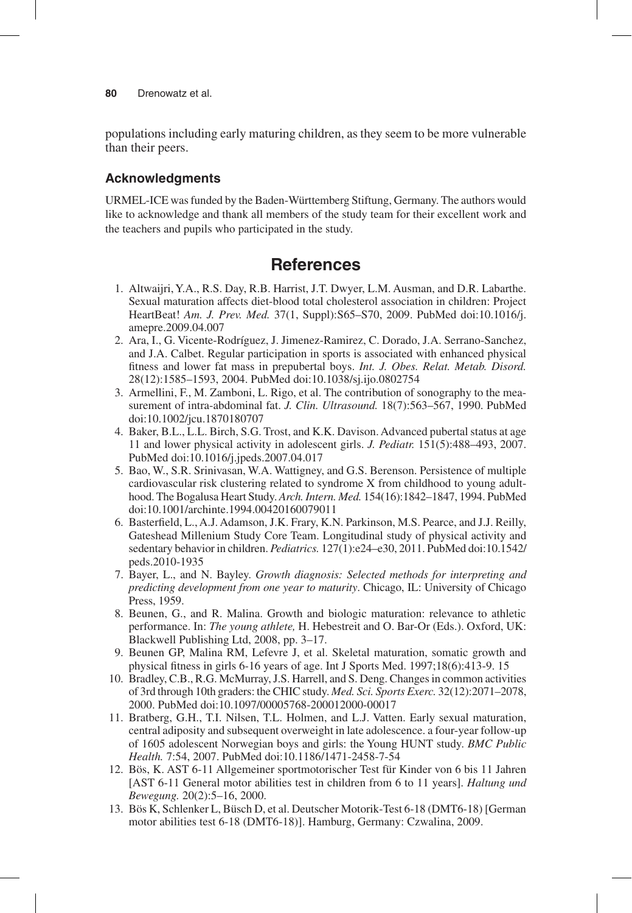populations including early maturing children, as they seem to be more vulnerable than their peers.

### **Acknowledgments**

URMEL-ICE was funded by the Baden-Württemberg Stiftung, Germany. The authors would like to acknowledge and thank all members of the study team for their excellent work and the teachers and pupils who participated in the study.

# **References**

- 1. Altwaijri, Y.A., R.S. Day, R.B. Harrist, J.T. Dwyer, L.M. Ausman, and D.R. Labarthe. Sexual maturation affects diet-blood total cholesterol association in children: Project HeartBeat! *Am. J. Prev. Med.* 37(1, Suppl):S65–S70, 2009. PubMed doi:10.1016/j. amepre.2009.04.007
- 2. Ara, I., G. Vicente-Rodríguez, J. Jimenez-Ramirez, C. Dorado, J.A. Serrano-Sanchez, and J.A. Calbet. Regular participation in sports is associated with enhanced physical fitness and lower fat mass in prepubertal boys. *Int. J. Obes. Relat. Metab. Disord.* 28(12):1585–1593, 2004. PubMed doi:10.1038/sj.ijo.0802754
- 3. Armellini, F., M. Zamboni, L. Rigo, et al. The contribution of sonography to the measurement of intra-abdominal fat. *J. Clin. Ultrasound.* 18(7):563–567, 1990. PubMed doi:10.1002/jcu.1870180707
- 4. Baker, B.L., L.L. Birch, S.G. Trost, and K.K. Davison. Advanced pubertal status at age 11 and lower physical activity in adolescent girls. *J. Pediatr.* 151(5):488–493, 2007. PubMed doi:10.1016/j.jpeds.2007.04.017
- 5. Bao, W., S.R. Srinivasan, W.A. Wattigney, and G.S. Berenson. Persistence of multiple cardiovascular risk clustering related to syndrome X from childhood to young adulthood. The Bogalusa Heart Study. *Arch. Intern. Med.* 154(16):1842–1847, 1994. PubMed doi:10.1001/archinte.1994.00420160079011
- 6. Basterfield, L., A.J. Adamson, J.K. Frary, K.N. Parkinson, M.S. Pearce, and J.J. Reilly, Gateshead Millenium Study Core Team. Longitudinal study of physical activity and sedentary behavior in children. *Pediatrics.* 127(1):e24–e30, 2011. PubMed doi:10.1542/ peds.2010-1935
- 7. Bayer, L., and N. Bayley. *Growth diagnosis: Selected methods for interpreting and predicting development from one year to maturity*. Chicago, IL: University of Chicago Press, 1959.
- 8. Beunen, G., and R. Malina. Growth and biologic maturation: relevance to athletic performance. In: *The young athlete,* H. Hebestreit and O. Bar-Or (Eds.). Oxford, UK: Blackwell Publishing Ltd, 2008, pp. 3–17.
- 9. Beunen GP, Malina RM, Lefevre J, et al. Skeletal maturation, somatic growth and physical fitness in girls 6-16 years of age. Int J Sports Med. 1997;18(6):413-9. 15
- 10. Bradley, C.B., R.G. McMurray, J.S. Harrell, and S. Deng. Changes in common activities of 3rd through 10th graders: the CHIC study. *Med. Sci. Sports Exerc.* 32(12):2071–2078, 2000. PubMed doi:10.1097/00005768-200012000-00017
- 11. Bratberg, G.H., T.I. Nilsen, T.L. Holmen, and L.J. Vatten. Early sexual maturation, central adiposity and subsequent overweight in late adolescence. a four-year follow-up of 1605 adolescent Norwegian boys and girls: the Young HUNT study. *BMC Public Health.* 7:54, 2007. PubMed doi:10.1186/1471-2458-7-54
- 12. Bös, K. AST 6-11 Allgemeiner sportmotorischer Test für Kinder von 6 bis 11 Jahren [AST 6-11 General motor abilities test in children from 6 to 11 years]. *Haltung und Bewegung.* 20(2):5–16, 2000.
- 13. Bös K, Schlenker L, Büsch D, et al. Deutscher Motorik-Test 6-18 (DMT6-18) [German motor abilities test 6-18 (DMT6-18)]. Hamburg, Germany: Czwalina, 2009.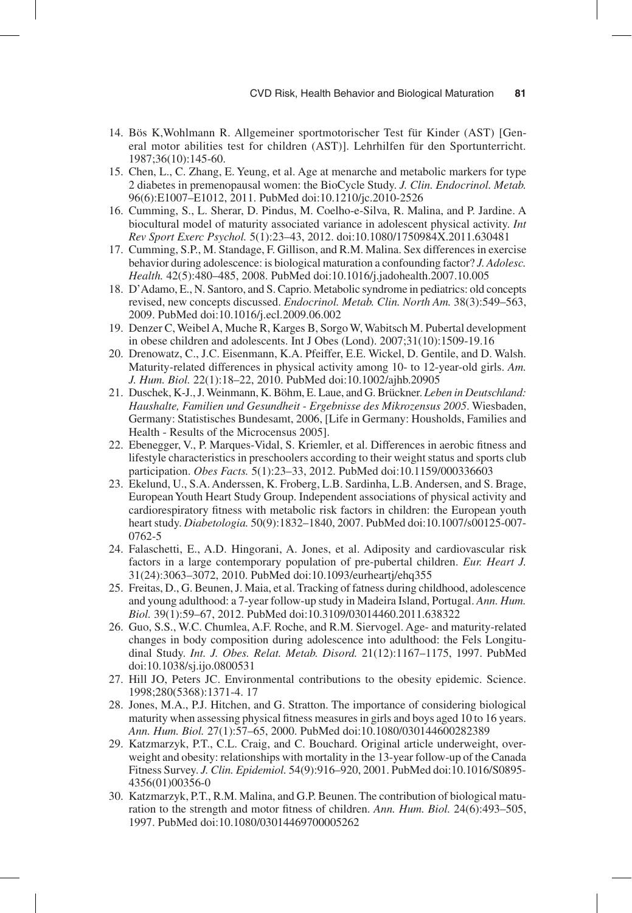- 14. Bös K,Wohlmann R. Allgemeiner sportmotorischer Test für Kinder (AST) [General motor abilities test for children (AST)]. Lehrhilfen für den Sportunterricht. 1987;36(10):145-60.
- 15. Chen, L., C. Zhang, E. Yeung, et al. Age at menarche and metabolic markers for type 2 diabetes in premenopausal women: the BioCycle Study. *J. Clin. Endocrinol. Metab.* 96(6):E1007–E1012, 2011. PubMed doi:10.1210/jc.2010-2526
- 16. Cumming, S., L. Sherar, D. Pindus, M. Coelho-e-Silva, R. Malina, and P. Jardine. A biocultural model of maturity associated variance in adolescent physical activity. *Int Rev Sport Exerc Psychol.* 5(1):23–43, 2012. doi:10.1080/1750984X.2011.630481
- 17. Cumming, S.P., M. Standage, F. Gillison, and R.M. Malina. Sex differences in exercise behavior during adolescence: is biological maturation a confounding factor? *J. Adolesc. Health.* 42(5):480–485, 2008. PubMed doi:10.1016/j.jadohealth.2007.10.005
- 18. D'Adamo, E., N. Santoro, and S. Caprio. Metabolic syndrome in pediatrics: old concepts revised, new concepts discussed. *Endocrinol. Metab. Clin. North Am.* 38(3):549–563, 2009. PubMed doi:10.1016/j.ecl.2009.06.002
- 19. Denzer C, Weibel A, Muche R, Karges B, Sorgo W, Wabitsch M. Pubertal development in obese children and adolescents. Int J Obes (Lond). 2007;31(10):1509-19.16
- 20. Drenowatz, C., J.C. Eisenmann, K.A. Pfeiffer, E.E. Wickel, D. Gentile, and D. Walsh. Maturity-related differences in physical activity among 10- to 12-year-old girls. *Am. J. Hum. Biol.* 22(1):18–22, 2010. PubMed doi:10.1002/ajhb.20905
- 21. Duschek, K-J., J. Weinmann, K. Böhm, E. Laue, and G. Brückner. *Leben in Deutschland: Haushalte, Familien und Gesundheit - Ergebnisse des Mikrozensus 2005*. Wiesbaden, Germany: Statistisches Bundesamt, 2006, [Life in Germany: Housholds, Families and Health - Results of the Microcensus 2005].
- 22. Ebenegger, V., P. Marques-Vidal, S. Kriemler, et al. Differences in aerobic fitness and lifestyle characteristics in preschoolers according to their weight status and sports club participation. *Obes Facts.* 5(1):23–33, 2012. PubMed doi:10.1159/000336603
- 23. Ekelund, U., S.A. Anderssen, K. Froberg, L.B. Sardinha, L.B. Andersen, and S. Brage, European Youth Heart Study Group. Independent associations of physical activity and cardiorespiratory fitness with metabolic risk factors in children: the European youth heart study. *Diabetologia.* 50(9):1832–1840, 2007. PubMed doi:10.1007/s00125-007- 0762-5
- 24. Falaschetti, E., A.D. Hingorani, A. Jones, et al. Adiposity and cardiovascular risk factors in a large contemporary population of pre-pubertal children. *Eur. Heart J.* 31(24):3063–3072, 2010. PubMed doi:10.1093/eurheartj/ehq355
- 25. Freitas, D., G. Beunen, J. Maia, et al. Tracking of fatness during childhood, adolescence and young adulthood: a 7-year follow-up study in Madeira Island, Portugal. *Ann. Hum. Biol.* 39(1):59–67, 2012. PubMed doi:10.3109/03014460.2011.638322
- 26. Guo, S.S., W.C. Chumlea, A.F. Roche, and R.M. Siervogel. Age- and maturity-related changes in body composition during adolescence into adulthood: the Fels Longitudinal Study. *Int. J. Obes. Relat. Metab. Disord.* 21(12):1167–1175, 1997. PubMed doi:10.1038/sj.ijo.0800531
- 27. Hill JO, Peters JC. Environmental contributions to the obesity epidemic. Science. 1998;280(5368):1371-4. 17
- 28. Jones, M.A., P.J. Hitchen, and G. Stratton. The importance of considering biological maturity when assessing physical fitness measures in girls and boys aged 10 to 16 years. *Ann. Hum. Biol.* 27(1):57–65, 2000. PubMed doi:10.1080/030144600282389
- 29. Katzmarzyk, P.T., C.L. Craig, and C. Bouchard. Original article underweight, overweight and obesity: relationships with mortality in the 13-year follow-up of the Canada Fitness Survey. *J. Clin. Epidemiol.* 54(9):916–920, 2001. PubMed doi:10.1016/S0895- 4356(01)00356-0
- 30. Katzmarzyk, P.T., R.M. Malina, and G.P. Beunen. The contribution of biological maturation to the strength and motor fitness of children. *Ann. Hum. Biol.* 24(6):493–505, 1997. PubMed doi:10.1080/03014469700005262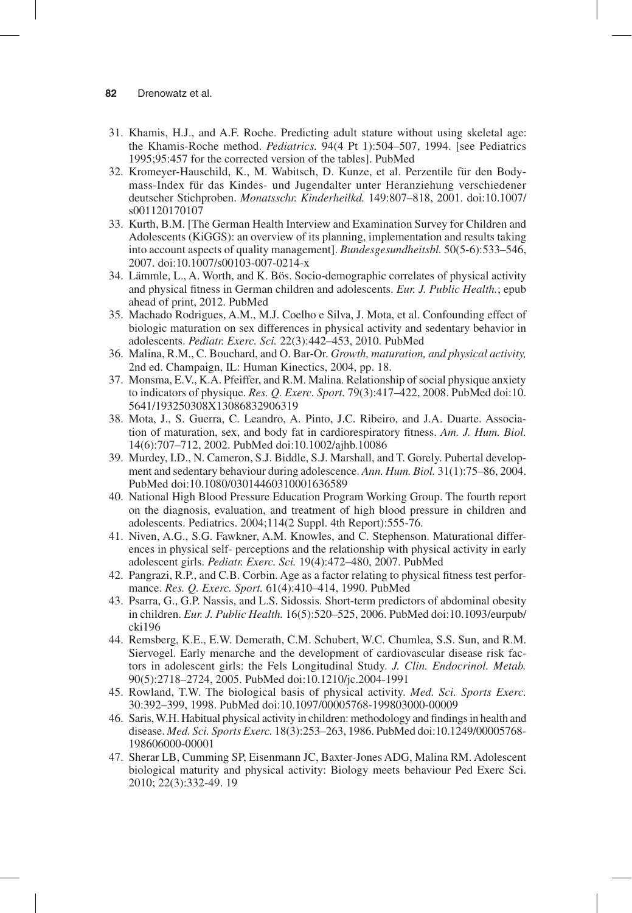- 31. Khamis, H.J., and A.F. Roche. Predicting adult stature without using skeletal age: the Khamis-Roche method. *Pediatrics.* 94(4 Pt 1):504–507, 1994. [see Pediatrics 1995;95:457 for the corrected version of the tables]. PubMed
- 32. Kromeyer-Hauschild, K., M. Wabitsch, D. Kunze, et al. Perzentile für den Bodymass-Index für das Kindes- und Jugendalter unter Heranziehung verschiedener deutscher Stichproben. *Monatsschr. Kinderheilkd.* 149:807–818, 2001. doi:10.1007/ s001120170107
- 33. Kurth, B.M. [The German Health Interview and Examination Survey for Children and Adolescents (KiGGS): an overview of its planning, implementation and results taking into account aspects of quality management]. *Bundesgesundheitsbl.* 50(5-6):533–546, 2007. doi:10.1007/s00103-007-0214-x
- 34. Lämmle, L., A. Worth, and K. Bös. Socio-demographic correlates of physical activity and physical fitness in German children and adolescents. *Eur. J. Public Health.*; epub ahead of print, 2012. PubMed
- 35. Machado Rodrigues, A.M., M.J. Coelho e Silva, J. Mota, et al. Confounding effect of biologic maturation on sex differences in physical activity and sedentary behavior in adolescents. *Pediatr. Exerc. Sci.* 22(3):442–453, 2010. PubMed
- 36. Malina, R.M., C. Bouchard, and O. Bar-Or. *Growth, maturation, and physical activity,* 2nd ed. Champaign, IL: Human Kinectics, 2004, pp. 18.
- 37. Monsma, E.V., K.A. Pfeiffer, and R.M. Malina. Relationship of social physique anxiety to indicators of physique. *Res. Q. Exerc. Sport.* 79(3):417–422, 2008. PubMed doi:10. 5641/193250308X13086832906319
- 38. Mota, J., S. Guerra, C. Leandro, A. Pinto, J.C. Ribeiro, and J.A. Duarte. Association of maturation, sex, and body fat in cardiorespiratory fitness. *Am. J. Hum. Biol.* 14(6):707–712, 2002. PubMed doi:10.1002/ajhb.10086
- 39. Murdey, I.D., N. Cameron, S.J. Biddle, S.J. Marshall, and T. Gorely. Pubertal development and sedentary behaviour during adolescence. *Ann. Hum. Biol.* 31(1):75–86, 2004. PubMed doi:10.1080/03014460310001636589
- 40. National High Blood Pressure Education Program Working Group. The fourth report on the diagnosis, evaluation, and treatment of high blood pressure in children and adolescents. Pediatrics. 2004;114(2 Suppl. 4th Report):555-76.
- 41. Niven, A.G., S.G. Fawkner, A.M. Knowles, and C. Stephenson. Maturational differences in physical self- perceptions and the relationship with physical activity in early adolescent girls. *Pediatr. Exerc. Sci.* 19(4):472–480, 2007. PubMed
- 42. Pangrazi, R.P., and C.B. Corbin. Age as a factor relating to physical fitness test performance. *Res. Q. Exerc. Sport.* 61(4):410–414, 1990. PubMed
- 43. Psarra, G., G.P. Nassis, and L.S. Sidossis. Short-term predictors of abdominal obesity in children. *Eur. J. Public Health.* 16(5):520–525, 2006. PubMed doi:10.1093/eurpub/ cki196
- 44. Remsberg, K.E., E.W. Demerath, C.M. Schubert, W.C. Chumlea, S.S. Sun, and R.M. Siervogel. Early menarche and the development of cardiovascular disease risk factors in adolescent girls: the Fels Longitudinal Study. *J. Clin. Endocrinol. Metab.* 90(5):2718–2724, 2005. PubMed doi:10.1210/jc.2004-1991
- 45. Rowland, T.W. The biological basis of physical activity. *Med. Sci. Sports Exerc.* 30:392–399, 1998. PubMed doi:10.1097/00005768-199803000-00009
- 46. Saris, W.H. Habitual physical activity in children: methodology and findings in health and disease. *Med. Sci. Sports Exerc.* 18(3):253–263, 1986. PubMed doi:10.1249/00005768- 198606000-00001
- 47. Sherar LB, Cumming SP, Eisenmann JC, Baxter-Jones ADG, Malina RM. Adolescent biological maturity and physical activity: Biology meets behaviour Ped Exerc Sci. 2010; 22(3):332-49. 19